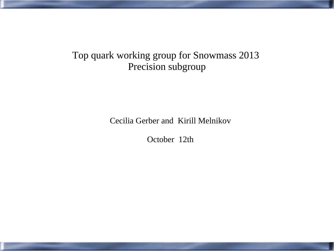### Top quark working group for Snowmass 2013 Precision subgroup

Cecilia Gerber and Kirill Melnikov

October 12th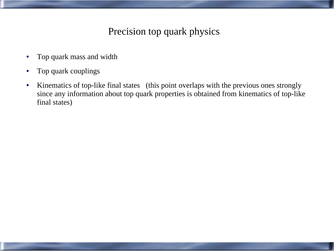# Precision top quark physics

- Top quark mass and width
- Top quark couplings
- Kinematics of top-like final states (this point overlaps with the previous ones strongly since any information about top quark properties is obtained from kinematics of top-like final states)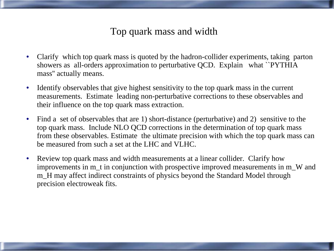### Top quark mass and width

- Clarify which top quark mass is quoted by the hadron-collider experiments, taking parton showers as all-orders approximation to perturbative QCD. Explain what ``PYTHIA mass'' actually means.
- Identify observables that give highest sensitivity to the top quark mass in the current measurements. Estimate leading non-perturbative corrections to these observables and their influence on the top quark mass extraction.
- Find a set of observables that are 1) short-distance (perturbative) and 2) sensitive to the top quark mass. Include NLO QCD corrections in the determination of top quark mass from these observables. Estimate the ultimate precision with which the top quark mass can be measured from such a set at the LHC and VLHC.
- Review top quark mass and width measurements at a linear collider. Clarify how improvements in m\_t in conjunction with prospective improved measurements in m\_W and m\_H may affect indirect constraints of physics beyond the Standard Model through precision electroweak fits.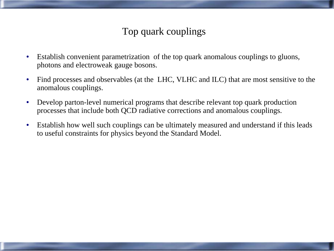## Top quark couplings

- Establish convenient parametrization of the top quark anomalous couplings to gluons, photons and electroweak gauge bosons.
- Find processes and observables (at the LHC, VLHC and ILC) that are most sensitive to the anomalous couplings.
- Develop parton-level numerical programs that describe relevant top quark production processes that include both QCD radiative corrections and anomalous couplings.
- Establish how well such couplings can be ultimately measured and understand if this leads to useful constraints for physics beyond the Standard Model.